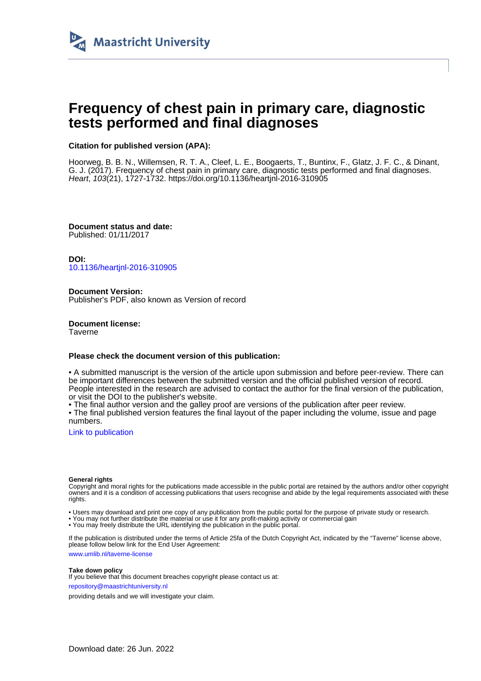

## **Frequency of chest pain in primary care, diagnostic tests performed and final diagnoses**

#### **Citation for published version (APA):**

Hoorweg, B. B. N., Willemsen, R. T. A., Cleef, L. E., Boogaerts, T., Buntinx, F., Glatz, J. F. C., & Dinant, G. J. (2017). Frequency of chest pain in primary care, diagnostic tests performed and final diagnoses. Heart, 103(21), 1727-1732.<https://doi.org/10.1136/heartjnl-2016-310905>

**Document status and date:** Published: 01/11/2017

**DOI:** [10.1136/heartjnl-2016-310905](https://doi.org/10.1136/heartjnl-2016-310905)

**Document Version:** Publisher's PDF, also known as Version of record

**Document license: Taverne** 

#### **Please check the document version of this publication:**

• A submitted manuscript is the version of the article upon submission and before peer-review. There can be important differences between the submitted version and the official published version of record. People interested in the research are advised to contact the author for the final version of the publication, or visit the DOI to the publisher's website.

• The final author version and the galley proof are versions of the publication after peer review.

• The final published version features the final layout of the paper including the volume, issue and page numbers.

[Link to publication](https://cris.maastrichtuniversity.nl/en/publications/12a8b25d-35b6-42d8-baa8-f9f0a7ce1233)

#### **General rights**

Copyright and moral rights for the publications made accessible in the public portal are retained by the authors and/or other copyright owners and it is a condition of accessing publications that users recognise and abide by the legal requirements associated with these rights.

• Users may download and print one copy of any publication from the public portal for the purpose of private study or research.

• You may not further distribute the material or use it for any profit-making activity or commercial gain

• You may freely distribute the URL identifying the publication in the public portal.

If the publication is distributed under the terms of Article 25fa of the Dutch Copyright Act, indicated by the "Taverne" license above, please follow below link for the End User Agreement:

www.umlib.nl/taverne-license

#### **Take down policy**

If you believe that this document breaches copyright please contact us at: repository@maastrichtuniversity.nl

providing details and we will investigate your claim.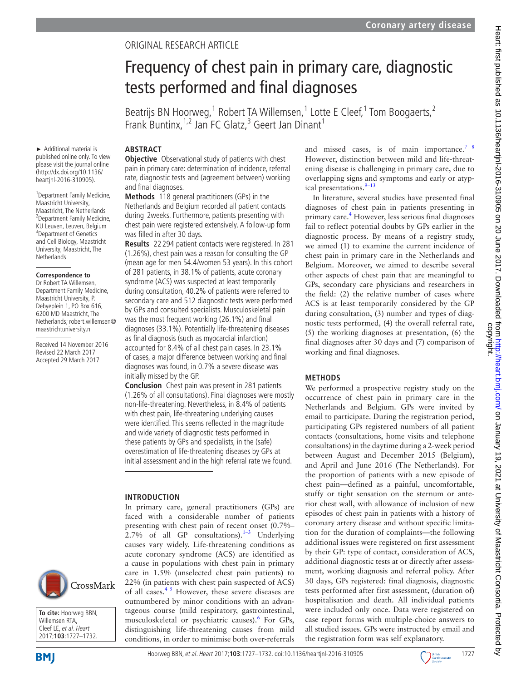## Original research article

# Frequency of chest pain in primary care, diagnostic tests performed and final diagnoses

Beatrijs BN Hoorweg,<sup>1</sup> Robert TA Willemsen,<sup>1</sup> Lotte E Cleef,<sup>1</sup> Tom Boogaerts,<sup>2</sup> Frank Buntinx, <sup>1,2</sup> Jan FC Glatz,<sup>3</sup> Geert Jan Dinant<sup>1</sup>

## **Abstract**

► Additional material is published online only. To view please visit the journal online (http://dx.doi.org/10.1136/ heartjnl-2016-310905).

1 Department Family Medicine, Maastricht University, Maastricht, The Netherlands 2 Department Family Medicine, KU Leuven, Leuven, Belgium <sup>3</sup>Department of Genetics and Cell Biology, Maastricht University, Maastricht, The **Netherlands** 

#### **Correspondence to**

Dr Robert TA Willemsen, Department Family Medicine, Maastricht University, P. Debyeplein 1, PO Box 616, 6200 MD Maastricht, The Netherlands; robert.willemsen@ maastrichtuniversity.nl

Received 14 November 2016 Revised 22 March 2017 Accepted 29 March 2017

**Objective** Observational study of patients with chest pain in primary care: determination of incidence, referral rate, diagnostic tests and (agreement between) working and final diagnoses.

**Methods** 118 general practitioners (GPs) in the Netherlands and Belgium recorded all patient contacts during 2weeks. Furthermore, patients presenting with chest pain were registered extensively. A follow-up form was filled in after 30 days.

**Results** 22 294 patient contacts were registered. In 281 (1.26%), chest pain was a reason for consulting the GP (mean age for men 54.4/women 53 years). In this cohort of 281 patients, in 38.1% of patients, acute coronary syndrome (ACS) was suspected at least temporarily during consultation, 40.2% of patients were referred to secondary care and 512 diagnostic tests were performed by GPs and consulted specialists. Musculoskeletal pain was the most frequent working (26.1%) and final diagnoses (33.1%). Potentially life-threatening diseases as final diagnosis (such as myocardial infarction) accounted for 8.4% of all chest pain cases. In 23.1% of cases, a major difference between working and final diagnoses was found, in 0.7% a severe disease was initially missed by the GP.

**Conclusion** Chest pain was present in 281 patients (1.26% of all consultations). Final diagnoses were mostly non-life-threatening. Nevertheless, in 8.4% of patients with chest pain, life-threatening underlying causes were identified. This seems reflected in the magnitude and wide variety of diagnostic tests performed in these patients by GPs and specialists, in the (safe) overestimation of life-threatening diseases by GPs at initial assessment and in the high referral rate we found.

faced with a considerable number of patients presenting with chest pain of recent onset (0.7%– 2.7% of all GP consultations). $1-3$  Underlying causes vary widely. Life-threatening conditions as

tageous course (mild respiratory, gastrointestinal, musculoskeletal or psychiatric causes).<sup>[6](#page-6-2)</sup> For GPs, distinguishing life-threatening causes from mild conditions, in order to minimise both over-referrals

#### **Introduction** In primary care, general practitioners (GPs) are

acute coronary syndrome (ACS) are identified as a cause in populations with chest pain in primary care in 1.5% (unselected chest pain patients) to 22% (in patients with chest pain suspected of ACS) CrossMark of all cases. $45$  However, these severe diseases are outnumbered by minor conditions with an advan-





In literature, several studies have presented final diagnoses of chest pain in patients presenting in primary care.<sup>[4](#page-6-1)</sup> However, less serious final diagnoses fail to reflect potential doubts by GPs earlier in the diagnostic process. By means of a registry study, we aimed (1) to examine the current incidence of chest pain in primary care in the Netherlands and Belgium. Moreover, we aimed to describe several other aspects of chest pain that are meaningful to GPs, secondary care physicians and researchers in the field: (2) the relative number of cases where ACS is at least temporarily considered by the GP during consultation, (3) number and types of diagnostic tests performed, (4) the overall referral rate, (5) the working diagnoses at presentation, (6) the final diagnoses after 30 days and (7) comparison of working and final diagnoses.

## **Methods**

We performed a prospective registry study on the occurrence of chest pain in primary care in the Netherlands and Belgium. GPs were invited by email to participate. During the registration period, participating GPs registered numbers of all patient contacts (consultations, home visits and telephone consultations) in the daytime during a 2-week period between August and December 2015 (Belgium), and April and June 2016 (The Netherlands). For the proportion of patients with a new episode of chest pain—defined as a painful, uncomfortable, stuffy or tight sensation on the sternum or anterior chest wall, with allowance of inclusion of new episodes of chest pain in patients with a history of coronary artery disease and without specific limitation for the duration of complaints—the following additional issues were registered on first assessment by their GP: type of contact, consideration of ACS, additional diagnostic tests at or directly after assessment, working diagnosis and referral policy. After 30 days, GPs registered: final diagnosis, diagnostic tests performed after first assessment, (duration of) hospitalisation and death. All individual patients were included only once. Data were registered on case report forms with multiple-choice answers to all studied issues. GPs were instructed by email and the registration form was self explanatory.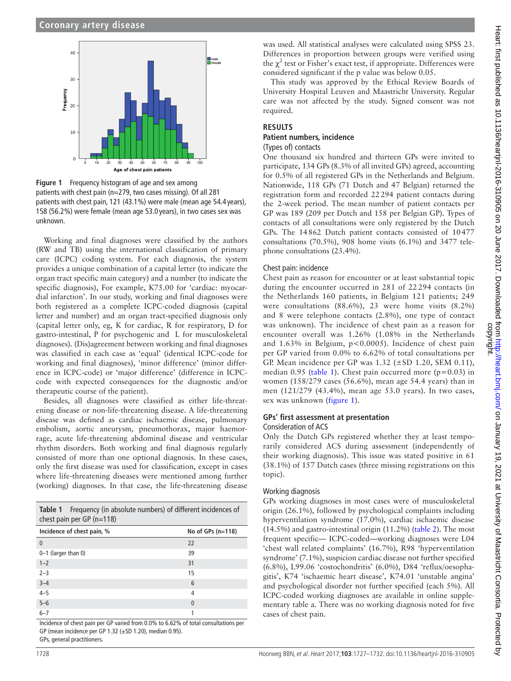

<span id="page-2-1"></span>**Figure 1** Frequency histogram of age and sex among patients with chest pain (n=279, two cases missing). Of all 281 patients with chest pain, 121 (43.1%) were male (mean age 54.4 years), 158 (56.2%) were female (mean age 53.0 years), in two cases sex was unknown.

Working and final diagnoses were classified by the authors (RW and TB) using the international classification of primary care (ICPC) coding system. For each diagnosis, the system provides a unique combination of a capital letter (to indicate the organ tract specific main category) and a number (to indicate the specific diagnosis), For example, K75.00 for 'cardiac: myocardial infarction'. In our study, working and final diagnoses were both registered as a complete ICPC-coded diagnosis (capital letter and number) and an organ tract-specified diagnosis only (capital letter only, eg, K for cardiac, R for respiratory, D for gastro-intestinal, P for psychogenic and L for musculoskeletal diagnoses). (Dis)agreement between working and final diagnoses was classified in each case as 'equal' (identical ICPC-code for working and final diagnoses), 'minor difference' (minor difference in ICPC-code) or 'major difference' (difference in ICPCcode with expected consequences for the diagnostic and/or therapeutic course of the patient).

Besides, all diagnoses were classified as either life-threatening disease or non-life-threatening disease. A life-threatening disease was defined as cardiac ischaemic disease, pulmonary embolism, aortic aneurysm, pneumothorax, major haemorrage, acute life-threatening abdominal disease and ventricular rhythm disorders. Both working and final diagnosis regularly consisted of more than one optional diagnosis. In these cases, only the first disease was used for classification, except in cases where life-threatening diseases were mentioned among further (working) diagnoses. In that case, the life-threatening disease

<span id="page-2-0"></span>

| <b>Table 1</b> Frequency (in absolute numbers) of different incidences of |
|---------------------------------------------------------------------------|
| chest pain per GP $(n=118)$                                               |

| Incidence of chest pain, % | No of GPs $(n=118)$ |
|----------------------------|---------------------|
| $\theta$                   | 22                  |
| 0-1 (larger than 0)        | 39                  |
| $1 - 2$                    | 31                  |
| $2 - 3$                    | 15                  |
| $3 - 4$                    | 6                   |
| $4 - 5$                    | 4                   |
| $5 - 6$                    | $\mathbf{0}$        |
| $6 - 7$                    |                     |

Incidence of chest pain per GP varied from 0.0% to 6.62% of total consultations per GP (mean incidence per GP 1.32 (±SD 1.20), median 0.95). GPs, general practitioners.

was used. All statistical analyses were calculated using SPSS 23. Differences in proportion between groups were verified using the  $\chi^2$  test or Fisher's exact test, if appropriate. Differences were considered significant if the p value was below 0.05.

This study was approved by the Ethical Review Boards of University Hospital Leuven and Maastricht University. Regular care was not affected by the study. Signed consent was not required.

## **Results**

## **Patient numbers, incidence**

## (Types of) contacts

One thousand six hundred and thirteen GPs were invited to participate, 134 GPs (8.3% of all invited GPs) agreed, accounting for 0.5% of all registered GPs in the Netherlands and Belgium. Nationwide, 118 GPs (71 Dutch and 47 Belgian) returned the registration form and recorded 22294 patient contacts during the 2-week period. The mean number of patient contacts per GP was 189 (209 per Dutch and 158 per Belgian GP). Types of contacts of all consultations were only registered by the Dutch GPs. The 14862 Dutch patient contacts consisted of 10477 consultations (70.5%), 908 home visits (6.1%) and 3477 telephone consultations (23.4%).

#### Chest pain: incidence

Chest pain as reason for encounter or at least substantial topic during the encounter occurred in 281 of 22 294 contacts (in the Netherlands 160 patients, in Belgium 121 patients; 249 were consultations (88.6%), 23 were home visits (8.2%) and 8 were telephone contacts (2.8%), one type of contact was unknown). The incidence of chest pain as a reason for encounter overall was 1.26% (1.08% in the Netherlands and  $1.63\%$  in Belgium,  $p < 0.0005$ ). Incidence of chest pain per GP varied from 0.0% to 6.62% of total consultations per GP. Mean incidence per GP was  $1.32$  ( $\pm$ SD  $1.20$ , SEM 0.11), median 0.95 ([table](#page-2-0) 1). Chest pain occurred more ( $p=0.03$ ) in women (158/279 cases (56.6%), mean age 54.4 years) than in men (121/279 (43.4%), mean age 53.0 years). In two cases, sex was unknown ([figure](#page-2-1) 1).

## **GPs' first assessment at presentation**

#### Consideration of ACS

Only the Dutch GPs registered whether they at least temporarily considered ACS during assessment (independently of their working diagnosis). This issue was stated positive in 61 (38.1%) of 157 Dutch cases (three missing registrations on this topic).

## Working diagnosis

GPs working diagnoses in most cases were of musculoskeletal origin (26.1%), followed by psychological complaints including hyperventilation syndrome (17.0%), cardiac ischaemic disease  $(14.5%)$  and gastro-intestinal origin  $(11.2%)$  [\(table](#page-3-0) 2). The most frequent specific— ICPC-coded—working diagnoses were L04 'chest wall related complaints' (16.7%), R98 'hyperventilation syndrome' (7.1%), suspicion cardiac disease not further specified (6.8%), L99.06 'costochondritis' (6.0%), D84 'reflux/oesophagitis', K74 'ischaemic heart disease', K74.01 'unstable angina' and psychological disorder not further specified (each 5%). All ICPC-coded working diagnoses are available in online [supple](https://dx.doi.org/10.1136/heartjnl-2016-310905)[mentary table a.](https://dx.doi.org/10.1136/heartjnl-2016-310905) There was no working diagnosis noted for five cases of chest pain.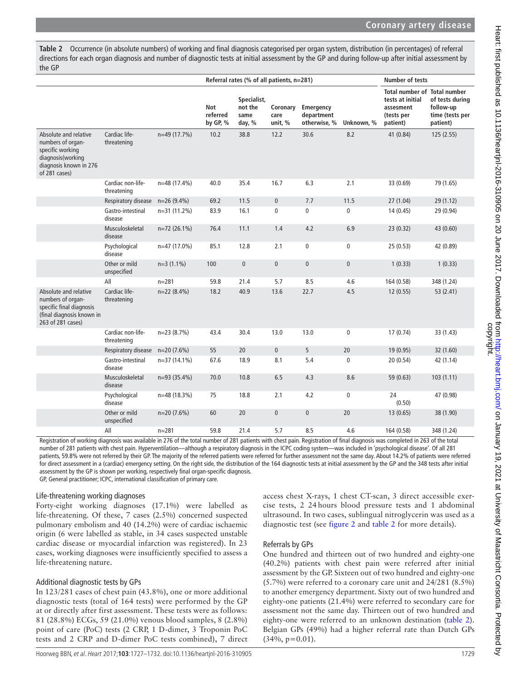<span id="page-3-0"></span>**Table 2** Occurrence (in absolute numbers) of working and final diagnosis categorised per organ system, distribution (in percentages) of referral directions for each organ diagnosis and number of diagnostic tests at initial assessment by the GP and during follow-up after initial assessment by the GP

|                                                                                                                                |                                  |                | Referral rates (% of all patients, n=281) |                                          |                             | <b>Number of tests</b>                  |              |                                                                                                |                                                             |
|--------------------------------------------------------------------------------------------------------------------------------|----------------------------------|----------------|-------------------------------------------|------------------------------------------|-----------------------------|-----------------------------------------|--------------|------------------------------------------------------------------------------------------------|-------------------------------------------------------------|
|                                                                                                                                |                                  |                | Not<br>referred<br>by GP, $%$             | Specialist,<br>not the<br>same<br>day, % | Coronary<br>care<br>unit, % | Emergency<br>department<br>otherwise, % | Unknown, %   | <b>Total number of Total number</b><br>tests at initial<br>assesment<br>(tests per<br>patient) | of tests during<br>follow-up<br>time (tests per<br>patient) |
| Absolute and relative<br>numbers of organ-<br>specific working<br>diagnosis(working<br>diagnosis known in 276<br>of 281 cases) | Cardiac life-<br>threatening     | n=49 (17.7%)   | 10.2                                      | 38.8                                     | 12.2                        | 30.6                                    | 8.2          | 41 (0.84)                                                                                      | 125(2.55)                                                   |
|                                                                                                                                | Cardiac non-life-<br>threatening | n=48 (17.4%)   | 40.0                                      | 35.4                                     | 16.7                        | 6.3                                     | 2.1          | 33 (0.69)                                                                                      | 79 (1.65)                                                   |
|                                                                                                                                | Respiratory disease              | $n=26(9.4\%)$  | 69.2                                      | 11.5                                     | $\pmb{0}$                   | 7.7                                     | 11.5         | 27(1.04)                                                                                       | 29 (1.12)                                                   |
|                                                                                                                                | Gastro-intestinal<br>disease     | $n=31(11.2\%)$ | 83.9                                      | 16.1                                     | $\mathbf 0$                 | $\pmb{0}$                               | $\mathbf 0$  | 14 (0.45)                                                                                      | 29 (0.94)                                                   |
|                                                                                                                                | Musculoskeletal<br>disease       | $n=72(26.1\%)$ | 76.4                                      | 11.1                                     | 1.4                         | 4.2                                     | 6.9          | 23(0.32)                                                                                       | 43 (0.60)                                                   |
|                                                                                                                                | Psychological<br>disease         | n=47 (17.0%)   | 85.1                                      | 12.8                                     | 2.1                         | $\mathbf 0$                             | $\mathbf 0$  | 25(0.53)                                                                                       | 42 (0.89)                                                   |
|                                                                                                                                | Other or mild<br>unspecified     | $n=3(1.1\%)$   | 100                                       | $\mathbf{0}$                             | $\mathbf{0}$                | $\mathbf{0}$                            | $\mathbf{0}$ | 1(0.33)                                                                                        | 1(0.33)                                                     |
|                                                                                                                                | All                              | $n = 281$      | 59.8                                      | 21.4                                     | 5.7                         | 8.5                                     | 4.6          | 164 (0.58)                                                                                     | 348 (1.24)                                                  |
| Absolute and relative<br>numbers of organ-<br>specific final diagnosis<br>(final diagnosis known in<br>263 of 281 cases)       | Cardiac life-<br>threatening     | $n=22(8.4\%)$  | 18.2                                      | 40.9                                     | 13.6                        | 22.7                                    | 4.5          | 12(0.55)                                                                                       | 53 (2.41)                                                   |
|                                                                                                                                | Cardiac non-life-<br>threatening | $n=23(8.7%)$   | 43.4                                      | 30.4                                     | 13.0                        | 13.0                                    | $\mathbf{0}$ | 17(0.74)                                                                                       | 33 (1.43)                                                   |
|                                                                                                                                | Respiratory disease              | $n=20(7.6%)$   | 55                                        | 20                                       | $\mathbf{0}$                | 5                                       | 20           | 19(0.95)                                                                                       | 32 (1.60)                                                   |
|                                                                                                                                | Gastro-intestinal<br>disease     | $n=37(14.1\%)$ | 67.6                                      | 18.9                                     | 8.1                         | 5.4                                     | $\mathbf{0}$ | 20 (0.54)                                                                                      | 42 (1.14)                                                   |
|                                                                                                                                | Musculoskeletal<br>disease       | $n=93(35.4%)$  | 70.0                                      | 10.8                                     | 6.5                         | 4.3                                     | 8.6          | 59 (0.63)                                                                                      | 103(1.11)                                                   |
|                                                                                                                                | Psychological<br>disease         | n=48 (18.3%)   | 75                                        | 18.8                                     | 2.1                         | 4.2                                     | $\mathbf 0$  | 24<br>(0.50)                                                                                   | 47 (0.98)                                                   |
|                                                                                                                                | Other or mild<br>unspecified     | $n=20(7.6%)$   | 60                                        | 20                                       | $\pmb{0}$                   | $\pmb{0}$                               | 20           | 13(0.65)                                                                                       | 38 (1.90)                                                   |
|                                                                                                                                | All                              | $n = 281$      | 59.8                                      | 21.4                                     | 5.7                         | 8.5                                     | 4.6          | 164 (0.58)                                                                                     | 348 (1.24)                                                  |

Registration of working diagnosis was available in 276 of the total number of 281 patients with chest pain. Registration of final diagnosis was completed in 263 of the total number of 281 patients with chest pain. Hyperventilation—although a respiratory diagnosis in the ICPC coding system—was included in 'psychological disease'. Of all 281 patients, 59.8% were not referred by their GP. The majority of the referred patients were referred for further assessment not the same day. About 14.2% of patients were referred for direct assessment in a (cardiac) emergency setting. On the right side, the distribution of the 164 diagnostic tests at initial assessment by the GP and the 348 tests after initial assessment by the GP is shown per working, respectively final organ-specific diagnosis. GP, General practitioner; ICPC, international classification of primary care.

## Life-threatening working diagnoses

Forty-eight working diagnoses (17.1%) were labelled as life-threatening. Of these, 7 cases (2.5%) concerned suspected pulmonary embolism and 40 (14.2%) were of cardiac ischaemic origin (6 were labelled as stable, in 34 cases suspected unstable cardiac disease or myocardial infarction was registered). In 23 cases, working diagnoses were insufficiently specified to assess a life-threatening nature.

## Additional diagnostic tests by GPs

In 123/281 cases of chest pain (43.8%), one or more additional diagnostic tests (total of 164 tests) were performed by the GP at or directly after first assessment. These tests were as follows: 81 (28.8%) ECGs, 59 (21.0%) venous blood samples, 8 (2.8%) point of care (PoC) tests (2 CRP, 1 D-dimer, 3 Troponin PoC tests and 2 CRP and D-dimer PoC tests combined), 7 direct

access chest X-rays, 1 chest CT-scan, 3 direct accessible exercise tests, 2 24 hours blood pressure tests and 1 abdominal ultrasound. In two cases, sublingual nitroglycerin was used as a diagnostic test (see [figure](#page-4-0) 2 and [table](#page-3-0) 2 for more details).

## Referrals by GPs

One hundred and thirteen out of two hundred and eighty-one (40.2%) patients with chest pain were referred after initial assessment by the GP. Sixteen out of two hundred and eighty-one (5.7%) were referred to a coronary care unit and 24/281 (8.5%) to another emergency department. Sixty out of two hundred and eighty-one patients (21.4%) were referred to secondary care for assessment not the same day. Thirteen out of two hundred and eighty-one were referred to an unknown destination ([table](#page-3-0) 2). Belgian GPs (49%) had a higher referral rate than Dutch GPs  $(34\%, p=0.01)$ .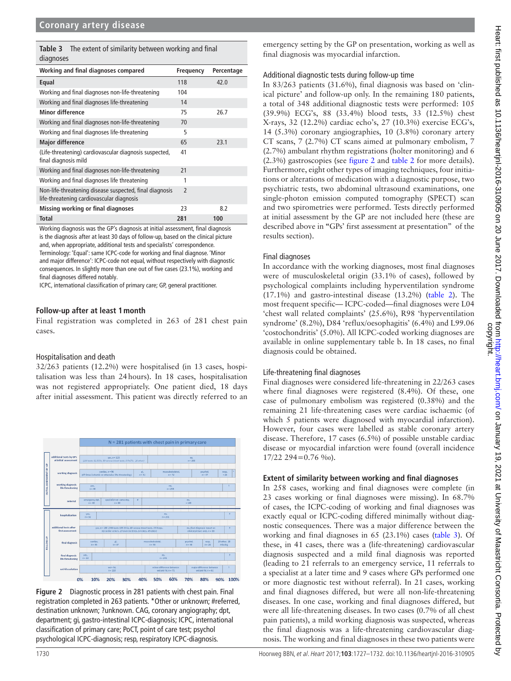<span id="page-4-1"></span>

|           | <b>Table 3</b> The extent of similarity between working and final |  |
|-----------|-------------------------------------------------------------------|--|
| diagnoses |                                                                   |  |

| Working and final diagnoses compared                                                                 | Frequency      | Percentage |
|------------------------------------------------------------------------------------------------------|----------------|------------|
| Equal                                                                                                | 118            | 42.0       |
| Working and final diagnoses non-life-threatening                                                     | 104            |            |
| Working and final diagnoses life-threatening                                                         | 14             |            |
| <b>Minor difference</b>                                                                              | 75             | 26.7       |
| Working and final diagnoses non-life-threatening                                                     | 70             |            |
| Working and final diagnoses life-threatening                                                         | 5              |            |
| <b>Major difference</b>                                                                              | 65             | 23.1       |
| (Life-threatening) cardiovascular diagnosis suspected,<br>final diagnosis mild                       | 41             |            |
| Working and final diagnoses non-life-threatening                                                     | 21             |            |
| Working and final diagnoses life threatening                                                         | 1              |            |
| Non-life-threatening disease suspected, final diagnosis<br>life-threatening cardiovascular diagnosis | $\overline{2}$ |            |
| Missing working or final diagnoses                                                                   | 23             | 8.2        |
| <b>Total</b>                                                                                         | 281            | 100        |

Working diagnosis was the GP's diagnosis at initial assessment, final diagnosis is the diagnosis after at least 30 days of follow-up, based on the clinical picture and, when appropriate, additional tests and specialists' correspondence. Terminology: 'Equal': same ICPC-code for working and final diagnose. 'Minor and major difference': ICPC-code not equal, without respectively with diagnostic consequences. In slightly more than one out of five cases (23.1%), working and final diagnoses differed notably.

ICPC, international classification of primary care; GP, general practitioner.

#### **Follow-up after at least 1month**

Final registration was completed in 263 of 281 chest pain cases.

#### Hospitalisation and death

32/263 patients (12.2%) were hospitalised (in 13 cases, hospitalisation was less than 24hours). In 18 cases, hospitalisation was not registered appropriately. One patient died, 18 days after initial assessment. This patient was directly referred to an



<span id="page-4-0"></span>**Figure 2** Diagnostic process in 281 patients with chest pain. Final registration completed in 263 patients. \*Other or unknown; #referred, destination unknown; ?unknown. CAG, coronary angiography; dpt, department; gi, gastro-intestinal ICPC-diagnosis; ICPC, international classification of primary care; PoCT, point of care test; psychol psychological ICPC-diagnosis; resp, respiratory ICPC-diagnosis.

emergency setting by the GP on presentation, working as well as final diagnosis was myocardial infarction.

#### Additional diagnostic tests during follow-up time

In 83/263 patients (31.6%), final diagnosis was based on 'clinical picture' and follow-up only. In the remaining 180 patients, a total of 348 additional diagnostic tests were performed: 105 (39.9%) ECG's, 88 (33.4%) blood tests, 33 (12.5%) chest X-rays, 32 (12.2%) cardiac echo's, 27 (10.3%) exercise ECG's, 14 (5.3%) coronary angiographies, 10 (3.8%) coronary artery CT scans, 7 (2.7%) CT scans aimed at pulmonary embolism, 7 (2.7%) ambulant rhythm registrations (holter monitoring) and 6 (2.3%) gastroscopies (see [figure](#page-4-0) 2 and [table](#page-3-0) 2 for more details). Furthermore, eight other types of imaging techniques, four initiations or alterations of medication with a diagnostic purpose, two psychiatric tests, two abdominal ultrasound examinations, one single-photon emission computed tomography (SPECT) scan and two spirometries were performed. Tests directly performed at initial assessment by the GP are not included here (these are described above in **"**GPs' first assessment at presentation" of the results section).

#### Final diagnoses

In accordance with the working diagnoses, most final diagnoses were of musculoskeletal origin (33.1% of cases), followed by psychological complaints including hyperventilation syndrome (17.1%) and gastro-intestinal disease (13.2%) [\(table](#page-3-0) 2). The most frequent specific— ICPC-coded—final diagnoses were L04 'chest wall related complaints' (25.6%), R98 'hyperventilation syndrome' (8.2%), D84 'reflux/oesophagitis' (6.4%) and L99.06 'costochondritis' (5.0%). All ICPC-coded working diagnoses are available in online [supplementary table b.](https://dx.doi.org/10.1136/heartjnl-2016-310905) In 18 cases, no final diagnosis could be obtained.

#### Life-threatening final diagnoses

Final diagnoses were considered life-threatening in 22/263 cases where final diagnoses were registered (8.4%). Of these, one case of pulmonary embolism was registered (0.38%) and the remaining 21 life-threatening cases were cardiac ischaemic (of which 5 patients were diagnosed with myocardial infarction). However, four cases were labelled as stable coronary artery disease. Therefore, 17 cases (6.5%) of possible unstable cardiac disease or myocardial infarction were found (overall incidence 17/22 294=0.76 ‰).

#### **Extent of similarity between working and final diagnoses**

In 258 cases, working and final diagnoses were complete (in 23 cases working or final diagnoses were missing). In 68.7% of cases, the ICPC-coding of working and final diagnoses was exactly equal or ICPC-coding differed minimally without diagnostic consequences. There was a major difference between the working and final diagnoses in 65 (23.1%) cases ([table](#page-4-1) 3). Of these, in 41 cases, there was a (life-threatening) cardiovascular diagnosis suspected and a mild final diagnosis was reported (leading to 21 referrals to an emergency service, 11 referrals to a specialist at a later time and 9 cases where GPs performed one or more diagnostic test without referral). In 21 cases, working and final diagnoses differed, but were all non-life-threatening diseases. In one case, working and final diagnoses differed, but were all life-threatening diseases. In two cases (0.7% of all chest pain patients), a mild working diagnosis was suspected, whereas the final diagnosis was a life-threatening cardiovascular diagnosis. The working and final diagnoses in these two patients were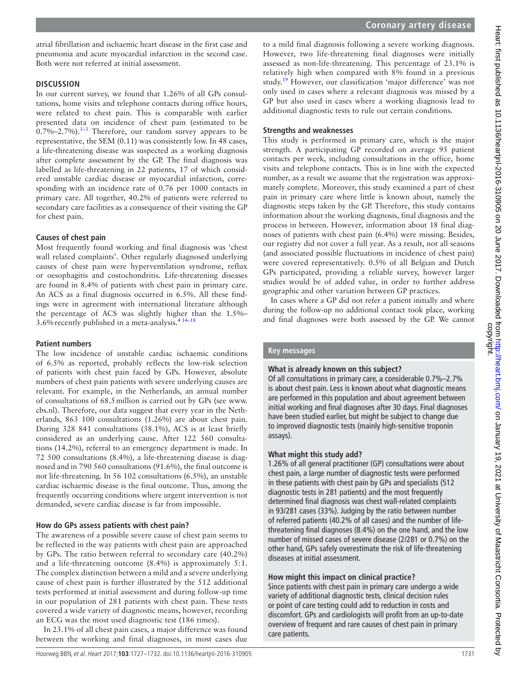atrial fibrillation and ischaemic heart disease in the first case and pneumonia and acute myocardial infarction in the second case. Both were not referred at initial assessment.

#### **Discussion**

In our current survey, we found that 1.26% of all GPs consultations, home visits and telephone contacts during office hours, were related to chest pain. This is comparable with earlier presented data on incidence of chest pain (estimated to be  $0.7\%$ –2.7%).<sup>1–3</sup> Therefore, our random survey appears to be representative, the SEM (0.11) was consistently low. In 48 cases, a life-threatening disease was suspected as a working diagnosis after complete assessment by the GP. The final diagnosis was labelled as life-threatening in 22 patients, 17 of which considered unstable cardiac disease or myocardial infarction, corresponding with an incidence rate of 0.76 per 1000 contacts in primary care. All together, 40.2% of patients were referred to secondary care facilities as a consequence of their visiting the GP for chest pain.

## **Causes of chest pain**

Most frequently found working and final diagnosis was 'chest wall related complaints'. Other regularly diagnosed underlying causes of chest pain were hyperventilation syndrome, reflux or oesophagitis and costochondritis. Life-threatening diseases are found in 8.4% of patients with chest pain in primary care. An ACS as a final diagnosis occurred in 6.5%. All these findings were in agreement with international literature although the percentage of ACS was slightly higher than the 1.5%– 3.6%recently published in a meta-analysis[.4 14–18](#page-6-1)

## **Patient numbers**

The low incidence of unstable cardiac ischaemic conditions of 6.5% as reported, probably reflects the low-risk selection of patients with chest pain faced by GPs. However, absolute numbers of chest pain patients with severe underlying causes are relevant. For example, in the Netherlands, an annual number of consultations of 68.5million is carried out by GPs (see [www.](www.cbs.nl) [cbs.nl\)](www.cbs.nl). Therefore, our data suggest that every year in the Netherlands, 863 100 consultations (1.26%) are about chest pain. During 328 841 consultations (38.1%), ACS is at least briefly considered as an underlying cause. After 122 560 consultations (14.2%), referral to an emergency department is made. In 72 500 consultations (8.4%), a life-threatening disease is diagnosed and in 790 560 consultations (91.6%), the final outcome is not life-threatening. In 56 102 consultations (6.5%), an unstable cardiac ischaemic disease is the final outcome. Thus, among the frequently occurring conditions where urgent intervention is not demanded, severe cardiac disease is far from impossible.

## **How do GPs assess patients with chest pain?**

The awareness of a possible severe cause of chest pain seems to be reflected in the way patients with chest pain are approached by GPs. The ratio between referral to secondary care (40.2%) and a life-threatening outcome (8.4%) is approximately 5:1. The complex distinction between a mild and a severe underlying cause of chest pain is further illustrated by the 512 additional tests performed at initial assessment and during follow-up time in our population of 281 patients with chest pain. These tests covered a wide variety of diagnostic means, however, recording an ECG was the most used diagnostic test (186 times).

In 23.1% of all chest pain cases, a major difference was found between the working and final diagnoses, in most cases due

to a mild final diagnosis following a severe working diagnosis. However, two life-threatening final diagnoses were initially assessed as non-life-threatening. This percentage of 23.1% is relatively high when compared with 8% found in a previous study.[19](#page-6-5) However, our classification 'major difference' was not only used in cases where a relevant diagnosis was missed by a GP but also used in cases where a working diagnosis lead to additional diagnostic tests to rule out certain conditions.

## **Strengths and weaknesses**

This study is performed in primary care, which is the major strength. A participating GP recorded on average 95 patient contacts per week, including consultations in the office, home visits and telephone contacts. This is in line with the expected number, as a result we assume that the registration was approximately complete. Moreover, this study examined a part of chest pain in primary care where little is known about, namely the diagnostic steps taken by the GP. Therefore, this study contains information about the working diagnosis, final diagnosis and the process in between. However, information about 18 final diagnoses of patients with chest pain (6.4%) were missing. Besides, our registry did not cover a full year. As a result, not all seasons (and associated possible fluctuations in incidence of chest pain) were covered representatively. 0.5% of all Belgian and Dutch GPs participated, providing a reliable survey, however larger studies would be of added value, in order to further address geographic and other variation between GP practices.

In cases where a GP did not refer a patient initially and where during the follow-up no additional contact took place, working and final diagnoses were both assessed by the GP. We cannot

## **Key messages**

## **What is already known on this subject?**

Of all consultations in primary care, a considerable 0.7%–2.7% is about chest pain. Less is known about what diagnostic means are performed in this population and about agreement between initial working and final diagnoses after 30 days. Final diagnoses have been studied earlier, but might be subject to change due to improved diagnostic tests (mainly high-sensitive troponin assays).

## **What might this study add?**

1.26% of all general practitioner (GP) consultations were about chest pain, a large number of diagnostic tests were performed in these patients with chest pain by GPs and specialists (512 diagnostic tests in 281 patients) and the most frequently determined final diagnosis was chest wall-related complaints in 93/281 cases (33%). Judging by the ratio between number of referred patients (40.2% of all cases) and the number of lifethreatening final diagnoses (8.4%) on the one hand, and the low number of missed cases of severe disease (2/281 or 0.7%) on the other hand, GPs safely overestimate the risk of life-threatening diseases at initial assessment.

## **How might this impact on clinical practice?**

Since patients with chest pain in primary care undergo a wide variety of additional diagnostic tests, clinical decision rules or point of care testing could add to reduction in costs and discomfort. GPs and cardiologists will profit from an up-to-date overview of frequent and rare causes of chest pain in primary care patients.